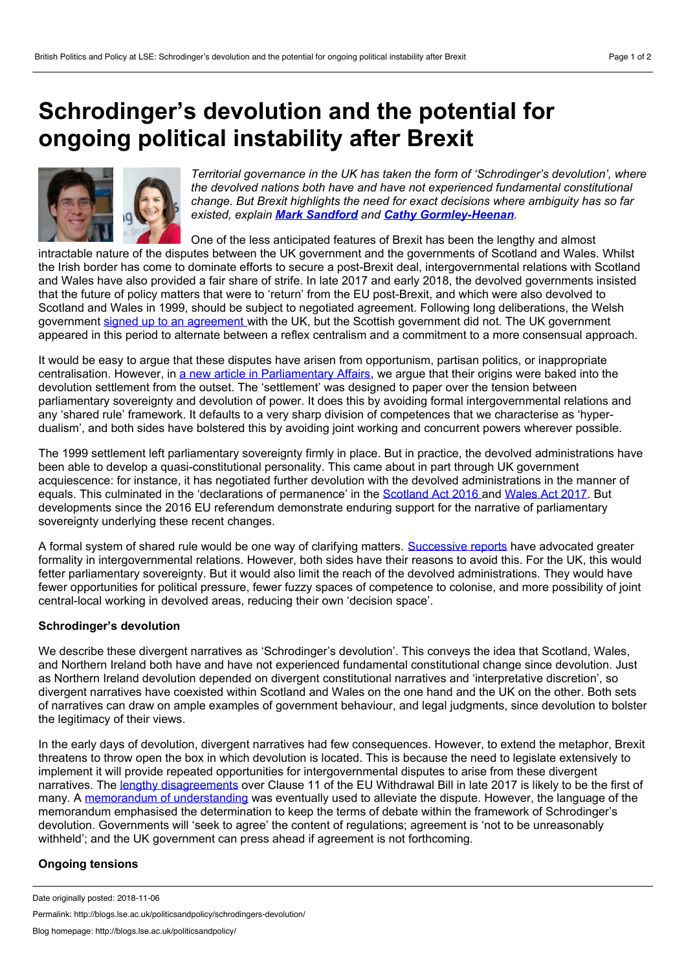## <span id="page-0-0"></span>**Schrodinger's devolution and the potential for ongoing political instability after Brexit**



*Territorial governance in the UK has taken the form of 'Schrodinger's devolution', where the devolved nations both have and have not experienced fundamental constitutional change. But Brexit highlights the need for exact decisions where ambiguity has so far existed, explain Mark [Sandford](#page-0-0) and Cathy [Gormley-Heenan](#page-0-0).*

One of the less anticipated features of Brexit has been the lengthy and almost

intractable nature of the disputes between the UK government and the governments of Scotland and Wales. Whilst the Irish border has come to dominate efforts to secure a post-Brexit deal, intergovernmental relations with Scotland and Wales have also provided a fair share of strife. In late 2017 and early 2018, the devolved governments insisted that the future of policy matters that were to 'return' from the EU post-Brexit, and which were also devolved to Scotland and Wales in 1999, should be subject to negotiated agreement. Following long deliberations, the Welsh government signed up to an [agreement](https://www.gov.uk/government/news/uk-and-welsh-governments-reach-agreement-on-eu-withdrawal-bill) with the UK, but the Scottish government did not. The UK government appeared in this period to alternate between a reflex centralism and a commitment to a more consensual approach.

It would be easy to argue that these disputes have arisen from opportunism, partisan politics, or inappropriate centralisation. However, in a new article in [Parliamentary](https://academic.oup.com/pa/advance-article/doi/10.1093/pa/gsy039/5151288?guestAccessKey=20f1ac85-18c1-4e63-b1fc-2e3c9b4fbff1) Affairs, we argue that their origins were baked into the devolution settlement from the outset. The 'settlement' was designed to paper over the tension between parliamentary sovereignty and devolution of power. It does this by avoiding formal intergovernmental relations and any 'shared rule' framework. It defaults to a very sharp division of competences that we characterise as 'hyper dualism', and both sides have bolstered this by avoiding joint working and concurrent powers wherever possible.

The 1999 settlement left parliamentary sovereignty firmly in place. But in practice, the devolved administrations have been able to develop a quasi-constitutional personality. This came about in part through UK government acquiescence: for instance, it has negotiated further devolution with the devolved administrations in the manner of equals. This culminated in the 'declarations of permanence' in the [Scotland](http://www.legislation.gov.uk/ukpga/2016/11/contents) Act 2016 and [Wales](http://www.legislation.gov.uk/ukpga/2017/4/contents) Act 2017. But developments since the 2016 EU referendum demonstrate enduring support for the narrative of parliamentary sovereignty underlying these recent changes.

A formal system of shared rule would be one way of clarifying matters. [Successive](https://publications.parliament.uk/pa/cm201719/cmselect/cmpubadm/442/442.pdf) [reports](https://publications.parliament.uk/pa/ld201516/ldselect/ldconst/149/149.pdf) have advocated greater formality in intergovernmental relations. However, both sides have their reasons to avoid this. For the UK, this would fetter parliamentary sovereignty. But it would also limit the reach of the devolved administrations. They would have fewer opportunities for political pressure, fewer fuzzy spaces of competence to colonise, and more possibility of joint central-local working in devolved areas, reducing their own 'decision space'.

## **Schrodinger's devolution**

We describe these divergent narratives as 'Schrodinger's devolution'. This conveys the idea that Scotland, Wales, and Northern Ireland both have and have not experienced fundamental constitutional change since devolution. Just as Northern Ireland devolution depended on divergent constitutional narratives and 'interpretative discretion', so divergent narratives have coexisted within Scotland and Wales on the one hand and the UK on the other. Both sets of narratives can draw on ample examples of government behaviour, and legal judgments, since devolution to bolster the legitimacy of their views.

In the early days of devolution, divergent narratives had few consequences. However, to extend the metaphor, Brexit threatens to throw open the box in which devolution is located. This is because the need to legislate extensively to implement it will provide repeated opportunities for intergovernmental disputes to arise from these divergent narratives. The lengthy [disagreements](https://www.instituteforgovernment.org.uk/explainers/eu-withdrawal-bill-clause-11-devolution) over Clause 11 of the EU Withdrawal Bill in late 2017 is likely to be the first of many. A memorandum of [understanding](https://www.gov.uk/government/news/uk-and-welsh-governments-reach-agreement-on-eu-withdrawal-bill) was eventually used to alleviate the dispute. However, the language of the memorandum emphasised the determination to keep the terms of debate within the framework of Schrodinger's devolution. Governments will 'seek to agree' the content of regulations; agreement is 'not to be unreasonably withheld'; and the UK government can press ahead if agreement is not forthcoming.

## **Ongoing tensions**

Permalink: http://blogs.lse.ac.uk/politicsandpolicy/schrodingers-devolution/

Date originally posted: 2018-11-06